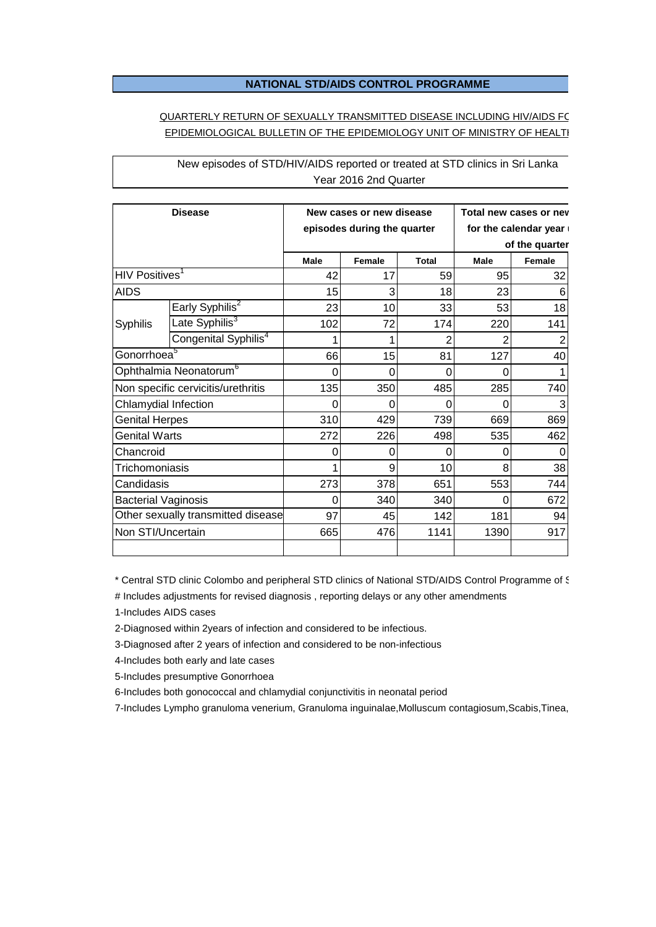## **NATIONAL STD/AIDS CONTROL PROGRAMME**

## QUARTERLY RETURN OF SEXUALLY TRANSMITTED DISEASE INCLUDING HIV/AIDS FO EPIDEMIOLOGICAL BULLETIN OF THE EPIDEMIOLOGY UNIT OF MINISTRY OF HEALTI

| <b>Disease</b>                       |                                  | New cases or new disease<br>episodes during the quarter |               |              | Total new cases or nev<br>for the calendar year<br>of the quarter |               |
|--------------------------------------|----------------------------------|---------------------------------------------------------|---------------|--------------|-------------------------------------------------------------------|---------------|
|                                      |                                  | <b>Male</b>                                             | <b>Female</b> | <b>Total</b> | <b>Male</b>                                                       | <b>Female</b> |
| $\mathsf{HIV}\ \mathsf{Positives}^1$ |                                  | 42                                                      | 17            | 59           | 95                                                                | 32            |
| <b>AIDS</b>                          |                                  | 15                                                      | 3             | 18           | 23                                                                | 6             |
| Syphilis                             | Early Syphilis <sup>2</sup>      | 23                                                      | 10            | 33           | 53                                                                | 18            |
|                                      | Late Syphilis <sup>3</sup>       | 102                                                     | 72            | 174          | 220                                                               | 141           |
|                                      | Congenital Syphilis <sup>4</sup> |                                                         |               |              | 2                                                                 | 2             |
| Gonorrhoea <sup>5</sup>              |                                  | 66                                                      | 15            | 81           | 127                                                               | 40            |
| Ophthalmia Neonatorum <sup>6</sup>   |                                  | 0                                                       | $\Omega$      | 0            | 0                                                                 |               |
| Non specific cervicitis/urethritis   |                                  | 135                                                     | 350           | 485          | 285                                                               | 740           |
| Chlamydial Infection                 |                                  | O                                                       | 0             | 0            | 0                                                                 | 3             |
| <b>Genital Herpes</b>                |                                  | 310                                                     | 429           | 739          | 669                                                               | 869           |
| <b>Genital Warts</b>                 |                                  | 272                                                     | 226           | 498          | 535                                                               | 462           |
| Chancroid                            |                                  | Ω                                                       | 0             | 0            | 0                                                                 | 0             |
| Trichomoniasis                       |                                  |                                                         | 9             | 10           | 8                                                                 | 38            |
| Candidasis                           |                                  | 273                                                     | 378           | 651          | 553                                                               | 744           |
| <b>Bacterial Vaginosis</b>           |                                  | O                                                       | 340           | 340          | 0                                                                 | 672           |
| Other sexually transmitted disease   |                                  | 97                                                      | 45            | 142          | 181                                                               | 94            |
| Non STI/Uncertain                    |                                  | 665                                                     | 476           | 1141         | 1390                                                              | 917           |
|                                      |                                  |                                                         |               |              |                                                                   |               |

New episodes of STD/HIV/AIDS reported or treated at STD clinics in Sri Lanka Year 2016 2nd Quarter

\* Central STD clinic Colombo and peripheral STD clinics of National STD/AIDS Control Programme of §

# Includes adjustments for revised diagnosis, reporting delays or any other amendments

1-Includes AIDS cases

2-Diagnosed within 2years of infection and considered to be infectious.

3-Diagnosed after 2 years of infection and considered to be non-infectious

4-Includes both early and late cases

5-Includes presumptive Gonorrhoea

6-Includes both gonococcal and chlamydial conjunctivitis in neonatal period

7-Includes Lympho granuloma venerium, Granuloma inguinalae,Molluscum contagiosum,Scabis,Tinea,